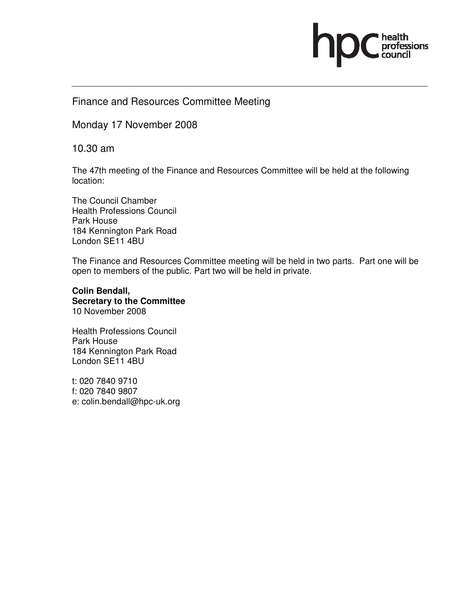# ofessions

## Finance and Resources Committee Meeting

Monday 17 November 2008

10.30 am

The 47th meeting of the Finance and Resources Committee will be held at the following location:

The Council Chamber Health Professions Council Park House 184 Kennington Park Road London SE11 4BU

The Finance and Resources Committee meeting will be held in two parts. Part one will be open to members of the public. Part two will be held in private.

**Colin Bendall, Secretary to the Committee**  10 November 2008

Health Professions Council Park House 184 Kennington Park Road London SE11 4BU

t: 020 7840 9710 f: 020 7840 9807 e: colin.bendall@hpc-uk.org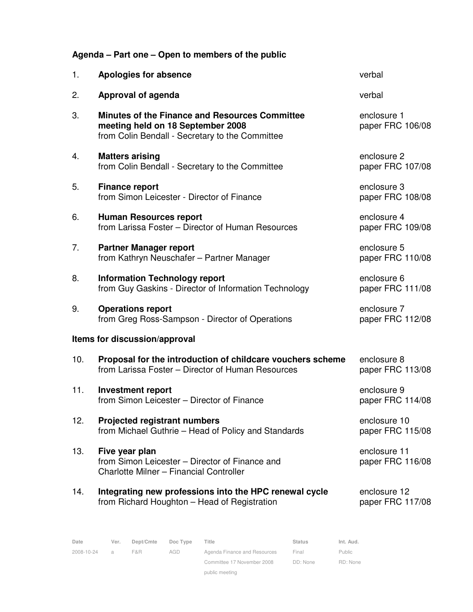|  |  | Agenda – Part one – Open to members of the public |  |
|--|--|---------------------------------------------------|--|
|  |  |                                                   |  |

| 1.  | <b>Apologies for absence</b>                                                                                                                  | verbal                           |
|-----|-----------------------------------------------------------------------------------------------------------------------------------------------|----------------------------------|
| 2.  | Approval of agenda                                                                                                                            | verbal                           |
| 3.  | <b>Minutes of the Finance and Resources Committee</b><br>meeting held on 18 September 2008<br>from Colin Bendall - Secretary to the Committee | enclosure 1<br>paper FRC 106/08  |
| 4.  | <b>Matters arising</b><br>from Colin Bendall - Secretary to the Committee                                                                     | enclosure 2<br>paper FRC 107/08  |
| 5.  | <b>Finance report</b><br>from Simon Leicester - Director of Finance                                                                           | enclosure 3<br>paper FRC 108/08  |
| 6.  | <b>Human Resources report</b><br>from Larissa Foster - Director of Human Resources                                                            | enclosure 4<br>paper FRC 109/08  |
| 7.  | <b>Partner Manager report</b><br>from Kathryn Neuschafer - Partner Manager                                                                    | enclosure 5<br>paper FRC 110/08  |
| 8.  | <b>Information Technology report</b><br>from Guy Gaskins - Director of Information Technology                                                 | enclosure 6<br>paper FRC 111/08  |
| 9.  | <b>Operations report</b><br>from Greg Ross-Sampson - Director of Operations                                                                   | enclosure 7<br>paper FRC 112/08  |
|     | Items for discussion/approval                                                                                                                 |                                  |
| 10. | Proposal for the introduction of childcare vouchers scheme<br>from Larissa Foster - Director of Human Resources                               | enclosure 8<br>paper FRC 113/08  |
| 11. | <b>Investment report</b><br>from Simon Leicester - Director of Finance                                                                        | enclosure 9<br>paper FRC 114/08  |
| 12. | <b>Projected registrant numbers</b><br>from Michael Guthrie - Head of Policy and Standards                                                    | enclosure 10<br>paper FRC 115/08 |
| 13. | Five year plan<br>from Simon Leicester - Director of Finance and<br>Charlotte Milner - Financial Controller                                   | enclosure 11<br>paper FRC 116/08 |
| 14. | Integrating new professions into the HPC renewal cycle<br>from Richard Houghton - Head of Registration                                        | enclosure 12<br>paper FRC 117/08 |

| Date       | Ver. | Dept/Cmte | Doc Type | Title                        | <b>Status</b> | Int. Aud. |
|------------|------|-----------|----------|------------------------------|---------------|-----------|
| 2008-10-24 | a    | F&R.      | AGD      | Agenda Finance and Resources | Final         | Public    |
|            |      |           |          | Committee 17 November 2008   | DD: None      | RD: None  |
|            |      |           |          | public meeting               |               |           |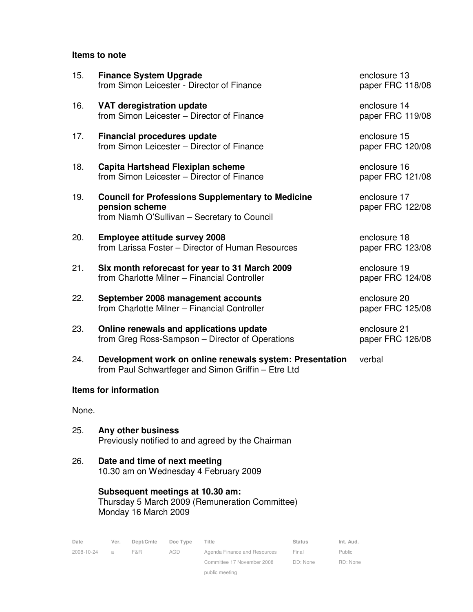#### **Items to note**

| 15.   | <b>Finance System Upgrade</b><br>from Simon Leicester - Director of Finance                                                | enclosure 13<br>paper FRC 118/08 |
|-------|----------------------------------------------------------------------------------------------------------------------------|----------------------------------|
| 16.   | VAT deregistration update<br>from Simon Leicester - Director of Finance                                                    | enclosure 14<br>paper FRC 119/08 |
| 17.   | <b>Financial procedures update</b><br>from Simon Leicester - Director of Finance                                           | enclosure 15<br>paper FRC 120/08 |
| 18.   | Capita Hartshead Flexiplan scheme<br>from Simon Leicester - Director of Finance                                            | enclosure 16<br>paper FRC 121/08 |
| 19.   | <b>Council for Professions Supplementary to Medicine</b><br>pension scheme<br>from Niamh O'Sullivan - Secretary to Council | enclosure 17<br>paper FRC 122/08 |
| 20.   | <b>Employee attitude survey 2008</b><br>from Larissa Foster - Director of Human Resources                                  | enclosure 18<br>paper FRC 123/08 |
| 21.   | Six month reforecast for year to 31 March 2009<br>from Charlotte Milner - Financial Controller                             | enclosure 19<br>paper FRC 124/08 |
| 22.   | September 2008 management accounts<br>from Charlotte Milner - Financial Controller                                         | enclosure 20<br>paper FRC 125/08 |
| 23.   | Online renewals and applications update<br>from Greg Ross-Sampson - Director of Operations                                 | enclosure 21<br>paper FRC 126/08 |
| 24.   | Development work on online renewals system: Presentation<br>from Paul Schwartfeger and Simon Griffin - Etre Ltd            | verbal                           |
|       | <b>Items for information</b>                                                                                               |                                  |
| None. |                                                                                                                            |                                  |

- 25. **Any other business** Previously notified to and agreed by the Chairman
- 26. **Date and time of next meeting** 10.30 am on Wednesday 4 February 2009

**Subsequent meetings at 10.30 am:**  Thursday 5 March 2009 (Remuneration Committee) Monday 16 March 2009

| Date       | Ver. | Dept/Cmte | Doc Type | Title                        | <b>Status</b> | Int. Aud.     |
|------------|------|-----------|----------|------------------------------|---------------|---------------|
| 2008-10-24 | a    | F&R       | AGD      | Agenda Finance and Resources | Final         | <b>Public</b> |
|            |      |           |          | Committee 17 November 2008   | DD: None      | RD: None      |
|            |      |           |          | public meeting               |               |               |